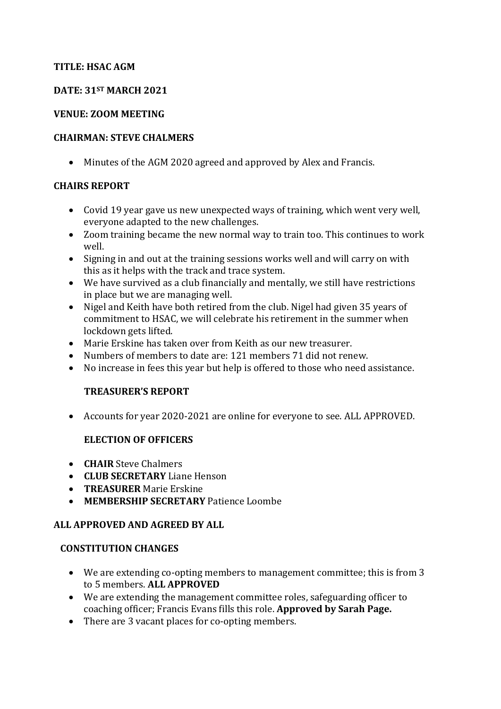#### **TITLE: HSAC AGM**

### **DATE: 31ST MARCH 2021**

### **VENUE: ZOOM MEETING**

#### **CHAIRMAN: STEVE CHALMERS**

Minutes of the AGM 2020 agreed and approved by Alex and Francis.

### **CHAIRS REPORT**

- Covid 19 year gave us new unexpected ways of training, which went very well, everyone adapted to the new challenges.
- Zoom training became the new normal way to train too. This continues to work well.
- Signing in and out at the training sessions works well and will carry on with this as it helps with the track and trace system.
- We have survived as a club financially and mentally, we still have restrictions in place but we are managing well.
- Nigel and Keith have both retired from the club. Nigel had given 35 years of commitment to HSAC, we will celebrate his retirement in the summer when lockdown gets lifted.
- Marie Erskine has taken over from Keith as our new treasurer.
- Numbers of members to date are: 121 members 71 did not renew.
- No increase in fees this year but help is offered to those who need assistance.

# **TREASURER'S REPORT**

Accounts for year 2020-2021 are online for everyone to see. ALL APPROVED.

# **ELECTION OF OFFICERS**

- **CHAIR** Steve Chalmers
- **CLUB SECRETARY** Liane Henson
- **TREASURER** Marie Erskine
- **MEMBERSHIP SECRETARY** Patience Loombe

# **ALL APPROVED AND AGREED BY ALL**

#### **CONSTITUTION CHANGES**

- We are extending co-opting members to management committee; this is from 3 to 5 members. **ALL APPROVED**
- We are extending the management committee roles, safeguarding officer to coaching officer; Francis Evans fills this role. **Approved by Sarah Page.**
- There are 3 vacant places for co-opting members.